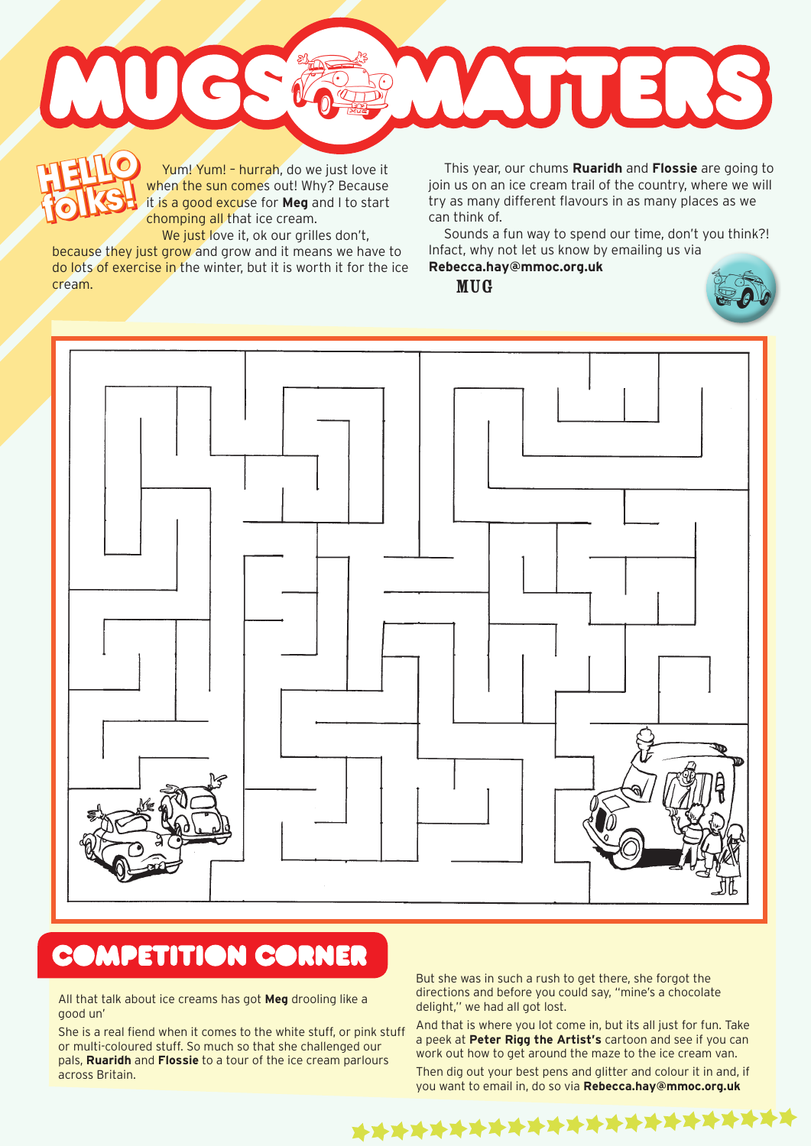

Yum! Yum! - hurrah, do we just love it when the sun comes out! Why? Because it is a good excuse for **Meg** and I to start chomping all that ice cream. **HELLO folks! HELLO folks!**

We just love it, ok our grilles don't, because they just grow and grow and it means we have to do lots of exercise in the winter, but it is worth it for the ice cream.

This year, our chums **Ruaridh** and **Flossie** are going to join us on an ice cream trail of the country, where we will try as many different flavours in as many places as we can think of.

Sounds a fun way to spend our time, don't you think?! Infact, why not let us know by emailing us via

**Rebecca.hay@mmoc.org.uk**

MUG





## **COMPETITION CORNER**

All that talk about ice creams has got **Meg** drooling like a good un'

She is a real fiend when it comes to the white stuff, or pink stuff or multi-coloured stuff. So much so that she challenged our pals, **Ruaridh** and **Flossie** to a tour of the ice cream parlours across Britain.

But she was in such a rush to get there, she forgot the directions and before you could say, "mine's a chocolate delight,'' we had all got lost.

And that is where you lot come in, but its all just for fun. Take a peek at **Peter Rigg the Artist's** cartoon and see if you can work out how to get around the maze to the ice cream van. Then dig out your best pens and glitter and colour it in and, if you want to email in, do so via **Rebecca.hay@mmoc.org.uk**

\*\*\*\*\*\*\*\*\*\*\*\*\*\*\*\*\*\*\*\*